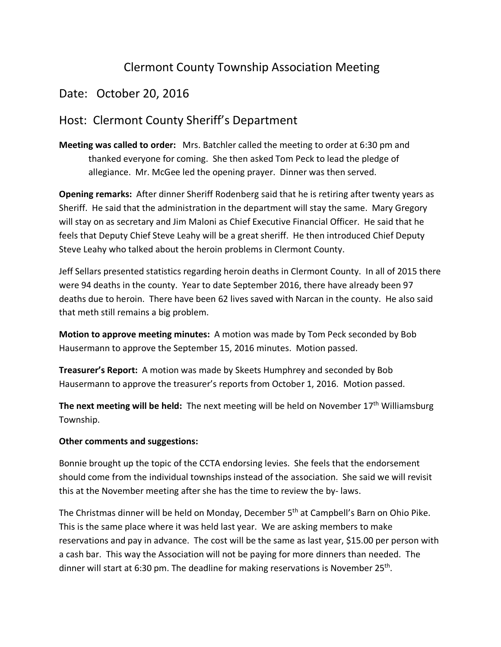## Clermont County Township Association Meeting

## Date: October 20, 2016

## Host: Clermont County Sheriff's Department

**Meeting was called to order:** Mrs. Batchler called the meeting to order at 6:30 pm and thanked everyone for coming. She then asked Tom Peck to lead the pledge of allegiance. Mr. McGee led the opening prayer. Dinner was then served.

**Opening remarks:** After dinner Sheriff Rodenberg said that he is retiring after twenty years as Sheriff. He said that the administration in the department will stay the same. Mary Gregory will stay on as secretary and Jim Maloni as Chief Executive Financial Officer. He said that he feels that Deputy Chief Steve Leahy will be a great sheriff. He then introduced Chief Deputy Steve Leahy who talked about the heroin problems in Clermont County.

Jeff Sellars presented statistics regarding heroin deaths in Clermont County. In all of 2015 there were 94 deaths in the county. Year to date September 2016, there have already been 97 deaths due to heroin. There have been 62 lives saved with Narcan in the county. He also said that meth still remains a big problem.

**Motion to approve meeting minutes:** A motion was made by Tom Peck seconded by Bob Hausermann to approve the September 15, 2016 minutes. Motion passed.

**Treasurer's Report:** A motion was made by Skeets Humphrey and seconded by Bob Hausermann to approve the treasurer's reports from October 1, 2016. Motion passed.

**The next meeting will be held:** The next meeting will be held on November 17<sup>th</sup> Williamsburg Township.

## **Other comments and suggestions:**

Bonnie brought up the topic of the CCTA endorsing levies. She feels that the endorsement should come from the individual townships instead of the association. She said we will revisit this at the November meeting after she has the time to review the by- laws.

The Christmas dinner will be held on Monday, December 5th at Campbell's Barn on Ohio Pike. This is the same place where it was held last year. We are asking members to make reservations and pay in advance. The cost will be the same as last year, \$15.00 per person with a cash bar. This way the Association will not be paying for more dinners than needed. The dinner will start at 6:30 pm. The deadline for making reservations is November 25th.